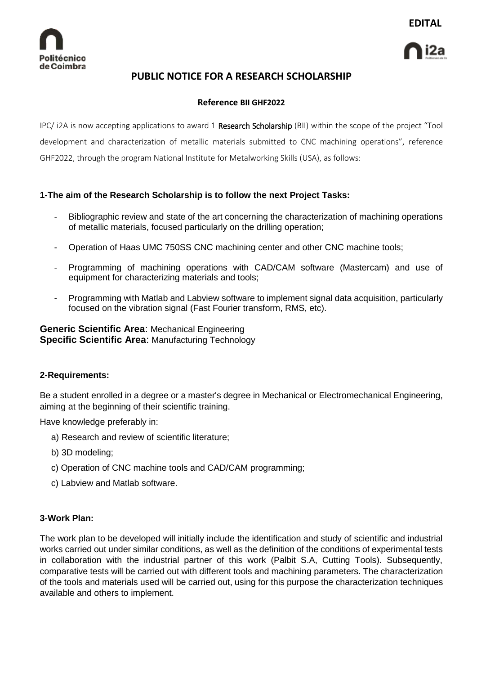

# **PUBLIC NOTICE FOR A RESEARCH SCHOLARSHIP**

## **Reference BII GHF2022**

IPC/ i2A is now accepting applications to award 1 Research Scholarship (BII) within the scope of the project "Tool development and characterization of metallic materials submitted to CNC machining operations", reference GHF2022, through the program National Institute for Metalworking Skills (USA), as follows:

## **1-The aim of the Research Scholarship is to follow the next Project Tasks:**

- Bibliographic review and state of the art concerning the characterization of machining operations of metallic materials, focused particularly on the drilling operation;
- Operation of Haas UMC 750SS CNC machining center and other CNC machine tools;
- Programming of machining operations with CAD/CAM software (Mastercam) and use of equipment for characterizing materials and tools;
- Programming with Matlab and Labview software to implement signal data acquisition, particularly focused on the vibration signal (Fast Fourier transform, RMS, etc).

**Generic Scientific Area**: Mechanical Engineering **Specific Scientific Area**: Manufacturing Technology

## **2-Requirements:**

Be a student enrolled in a degree or a master's degree in Mechanical or Electromechanical Engineering, aiming at the beginning of their scientific training.

Have knowledge preferably in:

- a) Research and review of scientific literature;
- b) 3D modeling;
- c) Operation of CNC machine tools and CAD/CAM programming;
- c) Labview and Matlab software.

## **3-Work Plan:**

The work plan to be developed will initially include the identification and study of scientific and industrial works carried out under similar conditions, as well as the definition of the conditions of experimental tests in collaboration with the industrial partner of this work (Palbit S.A, Cutting Tools). Subsequently, comparative tests will be carried out with different tools and machining parameters. The characterization of the tools and materials used will be carried out, using for this purpose the characterization techniques available and others to implement.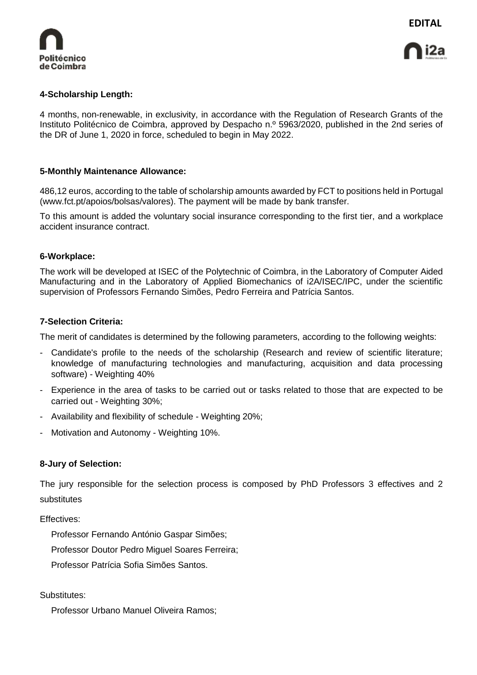

## **4-Scholarship Length:**

4 months, non-renewable, in exclusivity, in accordance with the Regulation of Research Grants of the Instituto Politécnico de Coimbra, approved by Despacho n.º 5963/2020, published in the 2nd series of the DR of June 1, 2020 in force, scheduled to begin in May 2022.

## **5-Monthly Maintenance Allowance:**

486,12 euros, according to the table of scholarship amounts awarded by FCT to positions held in Portugal (www.fct.pt/apoios/bolsas/valores). The payment will be made by bank transfer.

To this amount is added the voluntary social insurance corresponding to the first tier, and a workplace accident insurance contract.

## **6-Workplace:**

The work will be developed at ISEC of the Polytechnic of Coimbra, in the Laboratory of Computer Aided Manufacturing and in the Laboratory of Applied Biomechanics of i2A/ISEC/IPC, under the scientific supervision of Professors Fernando Simões, Pedro Ferreira and Patrícia Santos.

#### **7-Selection Criteria:**

The merit of candidates is determined by the following parameters, according to the following weights:

- Candidate's profile to the needs of the scholarship (Research and review of scientific literature; knowledge of manufacturing technologies and manufacturing, acquisition and data processing software) - Weighting 40%
- Experience in the area of tasks to be carried out or tasks related to those that are expected to be carried out - Weighting 30%;
- Availability and flexibility of schedule Weighting 20%;
- Motivation and Autonomy Weighting 10%.

## **8-Jury of Selection:**

The jury responsible for the selection process is composed by PhD Professors 3 effectives and 2 substitutes

Effectives:

Professor Fernando António Gaspar Simões;

Professor Doutor Pedro Miguel Soares Ferreira;

Professor Patrícia Sofia Simões Santos.

Substitutes:

Professor Urbano Manuel Oliveira Ramos;